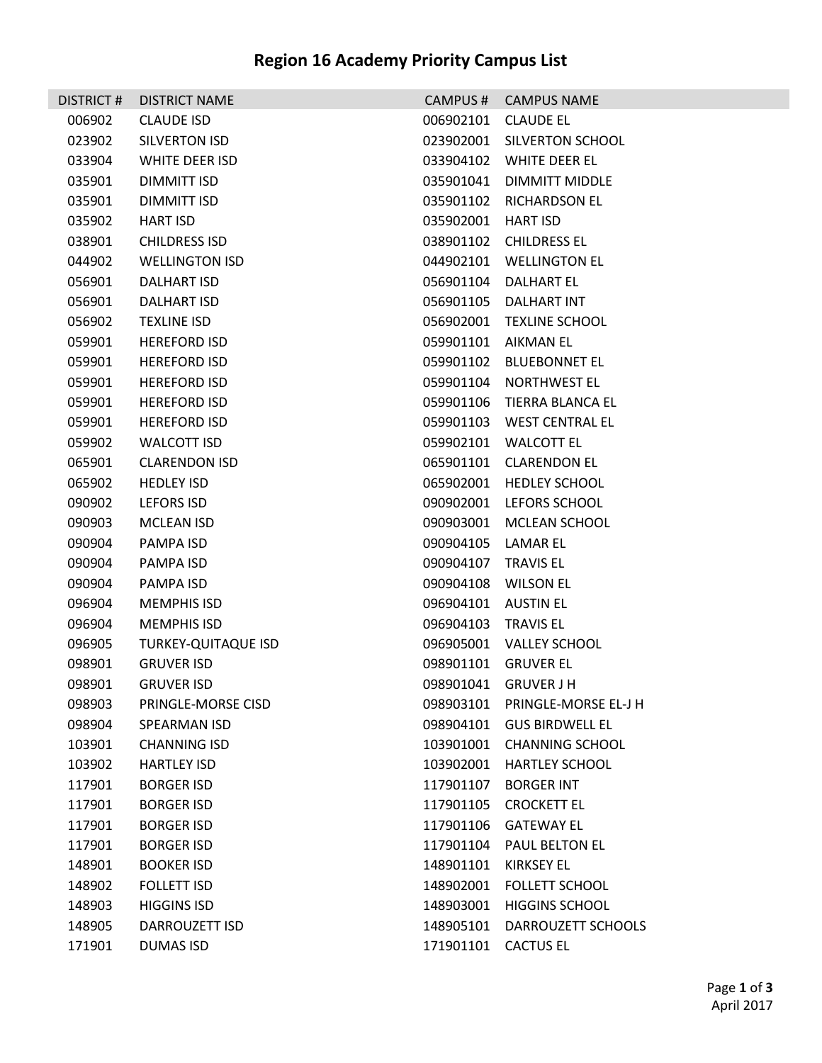| <b>DISTRICT#</b> | <b>DISTRICT NAME</b>       | CAMPUS#             | <b>CAMPUS NAME</b>             |
|------------------|----------------------------|---------------------|--------------------------------|
| 006902           | <b>CLAUDE ISD</b>          | 006902101           | <b>CLAUDE EL</b>               |
| 023902           | SILVERTON ISD              |                     | 023902001 SILVERTON SCHOOL     |
| 033904           | WHITE DEER ISD             | 033904102           | <b>WHITE DEER EL</b>           |
| 035901           | DIMMITT ISD                | 035901041           | DIMMITT MIDDLE                 |
| 035901           | DIMMITT ISD                | 035901102           | <b>RICHARDSON EL</b>           |
| 035902           | <b>HART ISD</b>            | 035902001           | HART ISD                       |
| 038901           | <b>CHILDRESS ISD</b>       |                     | 038901102 CHILDRESS EL         |
| 044902           | <b>WELLINGTON ISD</b>      |                     | 044902101 WELLINGTON EL        |
| 056901           | DALHART ISD                | 056901104           | <b>DALHART EL</b>              |
| 056901           | DALHART ISD                | 056901105           | DALHART INT                    |
| 056902           | <b>TEXLINE ISD</b>         | 056902001           | <b>TEXLINE SCHOOL</b>          |
| 059901           | <b>HEREFORD ISD</b>        |                     | 059901101 AIKMAN EL            |
| 059901           | <b>HEREFORD ISD</b>        | 059901102           | <b>BLUEBONNET EL</b>           |
| 059901           | <b>HEREFORD ISD</b>        | 059901104           | NORTHWEST EL                   |
| 059901           | <b>HEREFORD ISD</b>        | 059901106           | TIERRA BLANCA EL               |
| 059901           | <b>HEREFORD ISD</b>        |                     | 059901103 WEST CENTRAL EL      |
| 059902           | <b>WALCOTT ISD</b>         | 059902101           | <b>WALCOTT EL</b>              |
| 065901           | <b>CLARENDON ISD</b>       |                     | 065901101 CLARENDON EL         |
| 065902           | <b>HEDLEY ISD</b>          | 065902001           | <b>HEDLEY SCHOOL</b>           |
| 090902           | LEFORS ISD                 | 090902001           | LEFORS SCHOOL                  |
| 090903           | MCLEAN ISD                 | 090903001           | <b>MCLEAN SCHOOL</b>           |
| 090904           | PAMPA ISD                  | 090904105           | LAMAR EL                       |
| 090904           | PAMPA ISD                  | 090904107           | <b>TRAVIS EL</b>               |
| 090904           | PAMPA ISD                  | 090904108           | WILSON EL                      |
| 096904           | <b>MEMPHIS ISD</b>         | 096904101           | <b>AUSTIN EL</b>               |
| 096904           | <b>MEMPHIS ISD</b>         | 096904103           | TRAVIS EL                      |
| 096905           | <b>TURKEY-QUITAQUE ISD</b> |                     | 096905001 VALLEY SCHOOL        |
| 098901           | <b>GRUVER ISD</b>          |                     | 098901101 GRUVER EL            |
| 098901           | <b>GRUVER ISD</b>          |                     | 098901041 GRUVER J H           |
| 098903           | <b>PRINGLE-MORSE CISD</b>  |                     | 098903101 PRINGLE-MORSE EL-J H |
| 098904           | SPEARMAN ISD               | 098904101           | <b>GUS BIRDWELL EL</b>         |
| 103901           | <b>CHANNING ISD</b>        |                     | 103901001 CHANNING SCHOOL      |
| 103902           | <b>HARTLEY ISD</b>         | 103902001           | <b>HARTLEY SCHOOL</b>          |
| 117901           | <b>BORGER ISD</b>          | 117901107           | <b>BORGER INT</b>              |
| 117901           | <b>BORGER ISD</b>          | 117901105           | <b>CROCKETT EL</b>             |
| 117901           | <b>BORGER ISD</b>          | 117901106           | GATEWAY EL                     |
| 117901           | <b>BORGER ISD</b>          | 117901104           | PAUL BELTON EL                 |
| 148901           | <b>BOOKER ISD</b>          | 148901101           | KIRKSEY EL                     |
| 148902           | <b>FOLLETT ISD</b>         | 148902001           | <b>FOLLETT SCHOOL</b>          |
| 148903           | <b>HIGGINS ISD</b>         | 148903001           | <b>HIGGINS SCHOOL</b>          |
| 148905           | DARROUZETT ISD             | 148905101           | DARROUZETT SCHOOLS             |
| 171901           | <b>DUMAS ISD</b>           | 171901101 CACTUS EL |                                |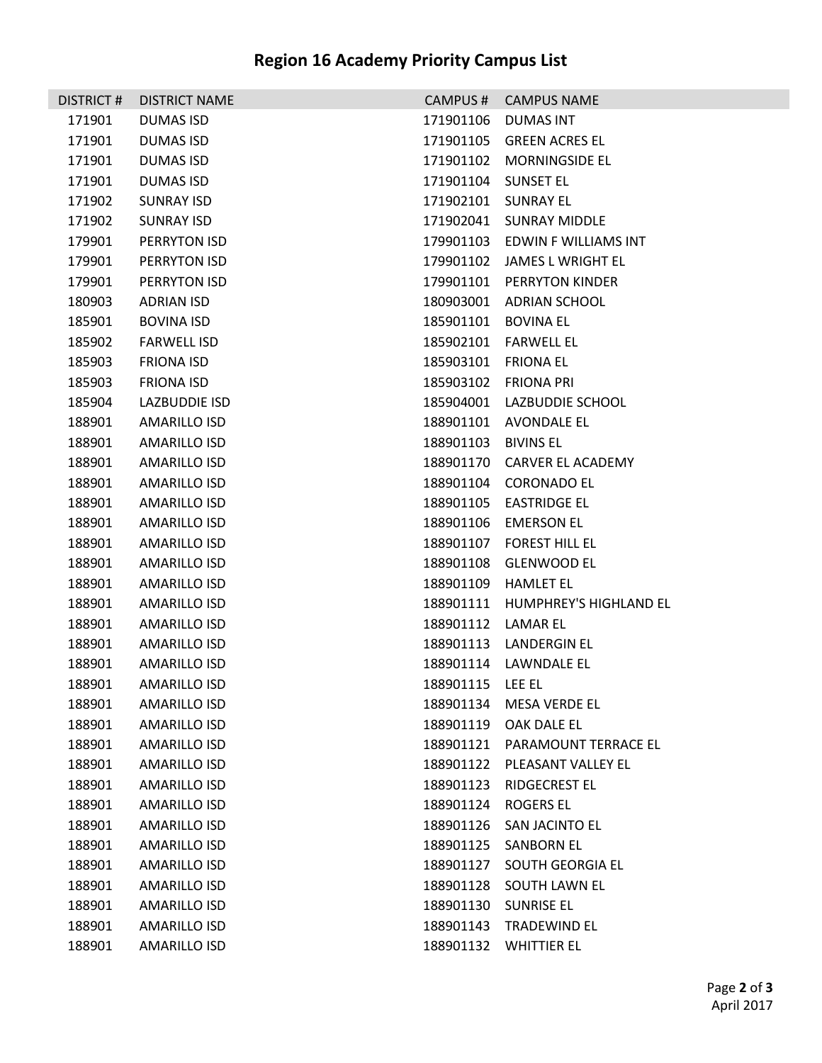## **Region 16 Academy Priority Campus List**

| <b>DISTRICT#</b> | <b>DISTRICT NAME</b> | CAMPUS#             | <b>CAMPUS NAME</b>               |  |
|------------------|----------------------|---------------------|----------------------------------|--|
| 171901           | DUMAS ISD            | 171901106 DUMAS INT |                                  |  |
| 171901           | <b>DUMAS ISD</b>     |                     | 171901105 GREEN ACRES EL         |  |
| 171901           | DUMAS ISD            |                     | 171901102 MORNINGSIDE EL         |  |
| 171901           | <b>DUMAS ISD</b>     | 171901104 SUNSET EL |                                  |  |
| 171902           | <b>SUNRAY ISD</b>    | 171902101 SUNRAY EL |                                  |  |
| 171902           | <b>SUNRAY ISD</b>    |                     | 171902041 SUNRAY MIDDLE          |  |
| 179901           | PERRYTON ISD         |                     | 179901103 EDWIN F WILLIAMS INT   |  |
| 179901           | PERRYTON ISD         |                     | 179901102 JAMES L WRIGHT EL      |  |
| 179901           | PERRYTON ISD         |                     | 179901101 PERRYTON KINDER        |  |
| 180903           | <b>ADRIAN ISD</b>    |                     | 180903001 ADRIAN SCHOOL          |  |
| 185901           | <b>BOVINA ISD</b>    | 185901101 BOVINA EL |                                  |  |
| 185902           | <b>FARWELL ISD</b>   |                     | 185902101    FARWELL EL          |  |
| 185903           | <b>FRIONA ISD</b>    | 185903101 FRIONA EL |                                  |  |
| 185903           | <b>FRIONA ISD</b>    |                     | 185903102 FRIONA PRI             |  |
| 185904           | LAZBUDDIE ISD        |                     | 185904001 LAZBUDDIE SCHOOL       |  |
| 188901           | AMARILLO ISD         |                     | 188901101 AVONDALE EL            |  |
| 188901           | AMARILLO ISD         | 188901103 BIVINS EL |                                  |  |
| 188901           | AMARILLO ISD         |                     | 188901170 CARVER EL ACADEMY      |  |
| 188901           | AMARILLO ISD         |                     | 188901104 CORONADO EL            |  |
| 188901           | AMARILLO ISD         |                     | 188901105 EASTRIDGE EL           |  |
| 188901           | AMARILLO ISD         |                     | 188901106 EMERSON EL             |  |
| 188901           | AMARILLO ISD         |                     | 188901107 FOREST HILL EL         |  |
| 188901           | AMARILLO ISD         |                     | 188901108 GLENWOOD EL            |  |
| 188901           | AMARILLO ISD         |                     | 188901109 HAMLET EL              |  |
| 188901           | AMARILLO ISD         |                     | 188901111 HUMPHREY'S HIGHLAND EL |  |
| 188901           | <b>AMARILLO ISD</b>  | 188901112 LAMAR EL  |                                  |  |
| 188901           | AMARILLO ISD         |                     | 188901113 LANDERGIN EL           |  |
| 188901           | <b>AMARILLO ISD</b>  |                     | 188901114 LAWNDALE EL            |  |
| 188901           | <b>AMARILLO ISD</b>  | 188901115 LEE EL    |                                  |  |
| 188901           | <b>AMARILLO ISD</b>  | 188901134           | <b>MESA VERDE EL</b>             |  |
| 188901           | AMARILLO ISD         | 188901119           | OAK DALE EL                      |  |
| 188901           | AMARILLO ISD         | 188901121           | PARAMOUNT TERRACE EL             |  |
| 188901           | AMARILLO ISD         | 188901122           | PLEASANT VALLEY EL               |  |
| 188901           | AMARILLO ISD         | 188901123           | RIDGECREST EL                    |  |
| 188901           | AMARILLO ISD         | 188901124 ROGERS EL |                                  |  |
| 188901           | AMARILLO ISD         | 188901126           | <b>SAN JACINTO EL</b>            |  |
| 188901           | AMARILLO ISD         | 188901125           | <b>SANBORN EL</b>                |  |
| 188901           | AMARILLO ISD         | 188901127           | <b>SOUTH GEORGIA EL</b>          |  |
| 188901           | AMARILLO ISD         |                     | 188901128 SOUTH LAWN EL          |  |
| 188901           | AMARILLO ISD         | 188901130           | <b>SUNRISE EL</b>                |  |
| 188901           | <b>AMARILLO ISD</b>  | 188901143           | <b>TRADEWIND EL</b>              |  |
| 188901           | <b>AMARILLO ISD</b>  | 188901132           | <b>WHITTIER EL</b>               |  |